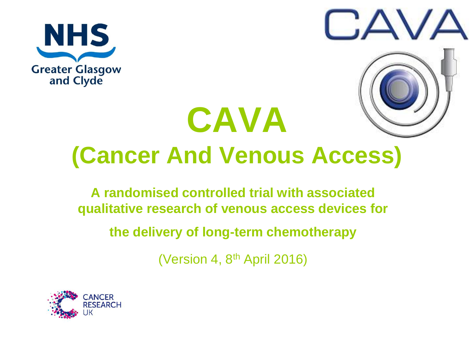



# **CAVA (Cancer And Venous Access)**

**A randomised controlled trial with associated qualitative research of venous access devices for** 

**the delivery of long-term chemotherapy**

(Version 4, 8th April 2016)

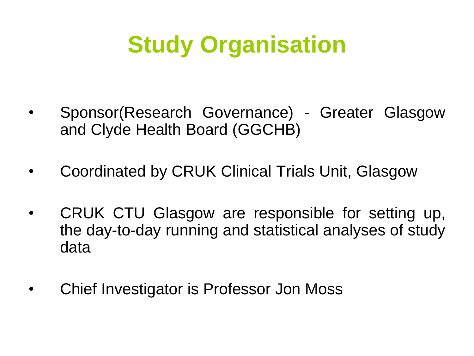### **Study Organisation**

- Sponsor(Research Governance) Greater Glasgow and Clyde Health Board (GGCHB)
- Coordinated by CRUK Clinical Trials Unit, Glasgow
- CRUK CTU Glasgow are responsible for setting up, the day-to-day running and statistical analyses of study data
- Chief Investigator is Professor Jon Moss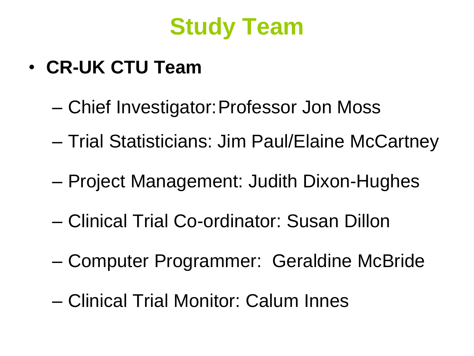

- **CR-UK CTU Team**
	- Chief Investigator:Professor Jon Moss
	- Trial Statisticians: Jim Paul/Elaine McCartney
	- Project Management: Judith Dixon-Hughes
	- Clinical Trial Co-ordinator: Susan Dillon
	- Computer Programmer: Geraldine McBride
	- Clinical Trial Monitor: Calum Innes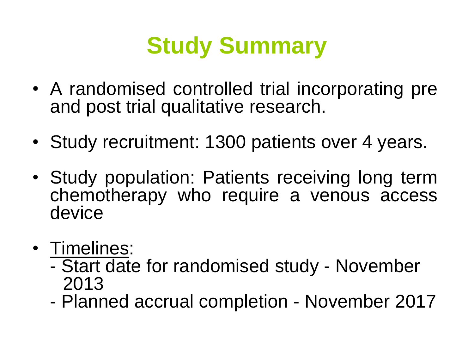### **Study Summary**

- A randomised controlled trial incorporating pre and post trial qualitative research.
- Study recruitment: 1300 patients over 4 years.
- Study population: Patients receiving long term chemotherapy who require a venous access device
- Timelines:
	- Start date for randomised study November 2013
	- Planned accrual completion November 2017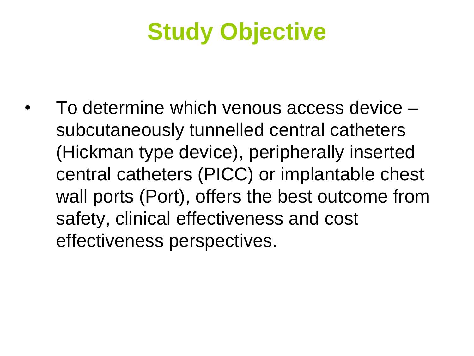### **Study Objective**

• To determine which venous access device – subcutaneously tunnelled central catheters (Hickman type device), peripherally inserted central catheters (PICC) or implantable chest wall ports (Port), offers the best outcome from safety, clinical effectiveness and cost effectiveness perspectives.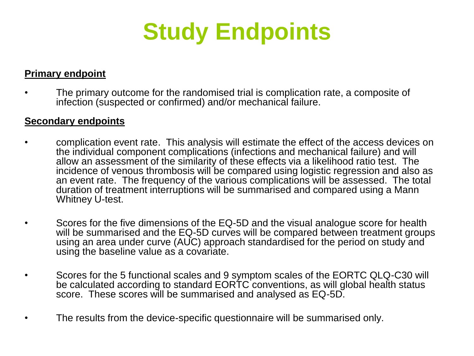

#### **Primary endpoint**

• The primary outcome for the randomised trial is complication rate, a composite of infection (suspected or confirmed) and/or mechanical failure.

#### **Secondary endpoints**

- complication event rate. This analysis will estimate the effect of the access devices on the individual component complications (infections and mechanical failure) and will allow an assessment of the similarity of these effects via a likelihood ratio test. The incidence of venous thrombosis will be compared using logistic regression and also as an event rate. The frequency of the various complications will be assessed. The total duration of treatment interruptions will be summarised and compared using a Mann Whitney U-test.
	- Scores for the five dimensions of the EQ-5D and the visual analogue score for health will be summarised and the EQ-5D curves will be compared between treatment groups using an area under curve (AUC) approach standardised for the period on study and using the baseline value as a covariate.
- Scores for the 5 functional scales and 9 symptom scales of the EORTC QLQ-C30 will be calculated according to standard EORTC conventions, as will global health status score. These scores will be summarised and analysed as EQ-5D.
- The results from the device-specific questionnaire will be summarised only.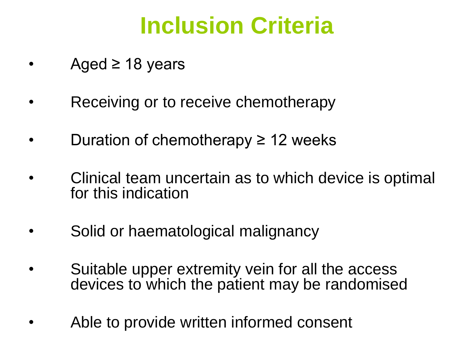### **Inclusion Criteria**

- Aged  $\geq$  18 years
- Receiving or to receive chemotherapy
- Duration of chemotherapy  $\geq$  12 weeks
- Clinical team uncertain as to which device is optimal for this indication
- Solid or haematological malignancy
- Suitable upper extremity vein for all the access devices to which the patient may be randomised
- Able to provide written informed consent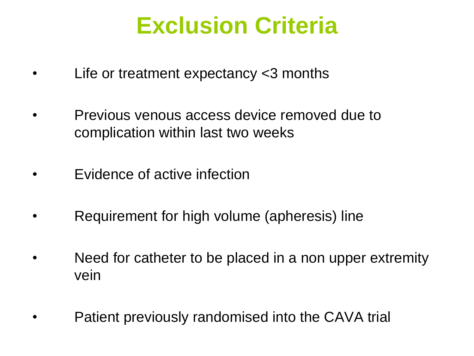### **Exclusion Criteria**

- Life or treatment expectancy  $<$ 3 months
- Previous venous access device removed due to complication within last two weeks
- Evidence of active infection
- Requirement for high volume (apheresis) line
- Need for catheter to be placed in a non upper extremity vein
- Patient previously randomised into the CAVA trial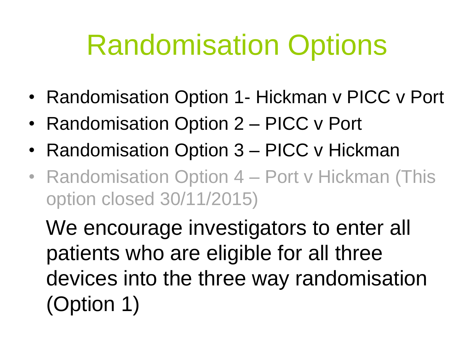# Randomisation Options

- Randomisation Option 1- Hickman v PICC v Port
- Randomisation Option 2 PICC v Port
- Randomisation Option 3 PICC v Hickman
- Randomisation Option 4 Port v Hickman (This option closed 30/11/2015)

We encourage investigators to enter all patients who are eligible for all three devices into the three way randomisation (Option 1)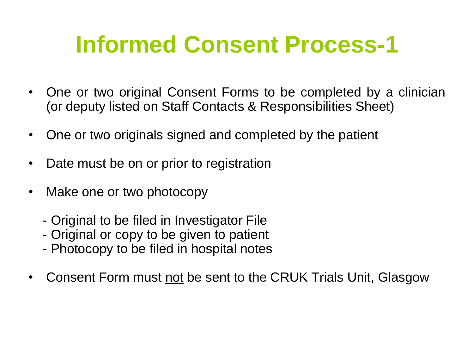### **Informed Consent Process-1**

- One or two original Consent Forms to be completed by a clinician (or deputy listed on Staff Contacts & Responsibilities Sheet)
- One or two originals signed and completed by the patient
- Date must be on or prior to registration
- Make one or two photocopy
	- Original to be filed in Investigator File
	- Original or copy to be given to patient
	- Photocopy to be filed in hospital notes
- Consent Form must not be sent to the CRUK Trials Unit, Glasgow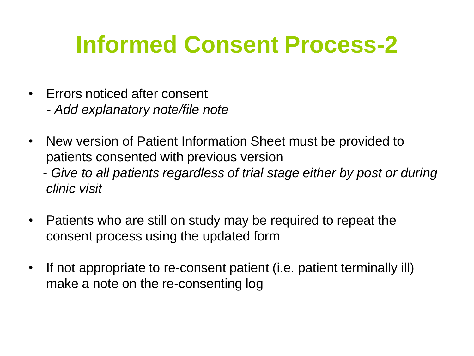### **Informed Consent Process-2**

- Errors noticed after consent *- Add explanatory note/file note*
- New version of Patient Information Sheet must be provided to patients consented with previous version
	- *- Give to all patients regardless of trial stage either by post or during clinic visit*
- Patients who are still on study may be required to repeat the consent process using the updated form
- If not appropriate to re-consent patient (i.e. patient terminally ill) make a note on the re-consenting log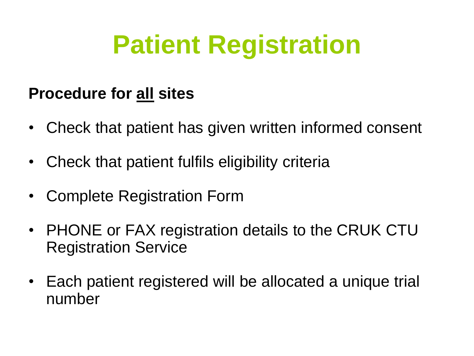# **Patient Registration**

#### **Procedure for all sites**

- Check that patient has given written informed consent
- Check that patient fulfils eligibility criteria
- Complete Registration Form
- PHONE or FAX registration details to the CRUK CTU Registration Service
- Each patient registered will be allocated a unique trial number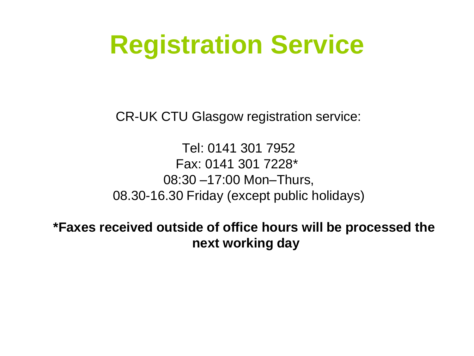## **Registration Service**

CR-UK CTU Glasgow registration service:

Tel: 0141 301 7952 Fax: 0141 301 7228\* 08:30 –17:00 Mon–Thurs, 08.30-16.30 Friday (except public holidays)

**\*Faxes received outside of office hours will be processed the next working day**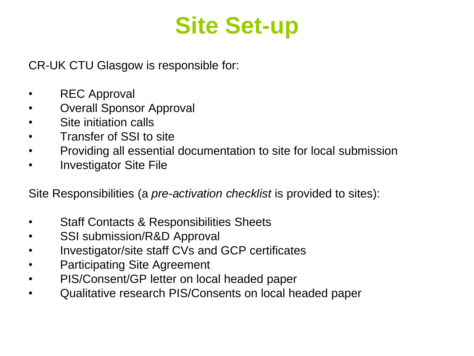### **Site Set-up**

CR-UK CTU Glasgow is responsible for:

- REC Approval
- Overall Sponsor Approval
- Site initiation calls
- Transfer of SSI to site
- Providing all essential documentation to site for local submission
- Investigator Site File

Site Responsibilities (a *pre-activation checklist* is provided to sites):

- Staff Contacts & Responsibilities Sheets
- SSI submission/R&D Approval
- Investigator/site staff CVs and GCP certificates
- Participating Site Agreement
- PIS/Consent/GP letter on local headed paper
- Qualitative research PIS/Consents on local headed paper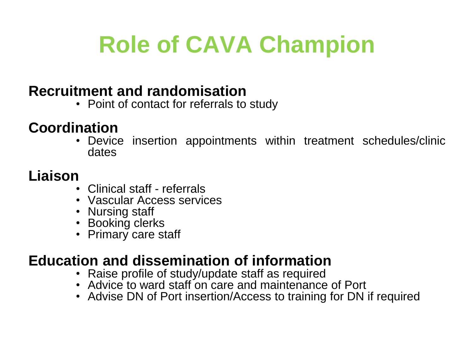### **Role of CAVA Champion**

#### **Recruitment and randomisation**

• Point of contact for referrals to study

#### **Coordination**

• Device insertion appointments within treatment schedules/clinic dates

#### **Liaison**

- Clinical staff referrals
- Vascular Access services
- Nursing staff
- Booking clerks
- Primary care staff

#### **Education and dissemination of information**

- Raise profile of study/update staff as required
- Advice to ward staff on care and maintenance of Port
- Advise DN of Port insertion/Access to training for DN if required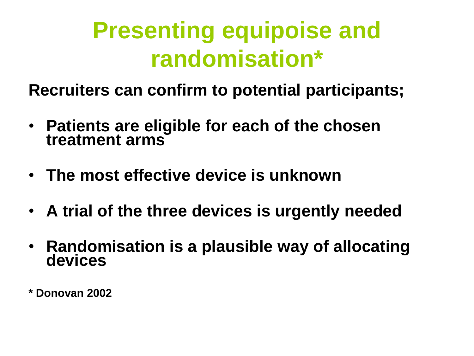### **Presenting equipoise and randomisation\***

**Recruiters can confirm to potential participants;**

- **Patients are eligible for each of the chosen treatment arms**
- **The most effective device is unknown**
- **A trial of the three devices is urgently needed**
- **Randomisation is a plausible way of allocating devices**
- **\* Donovan 2002**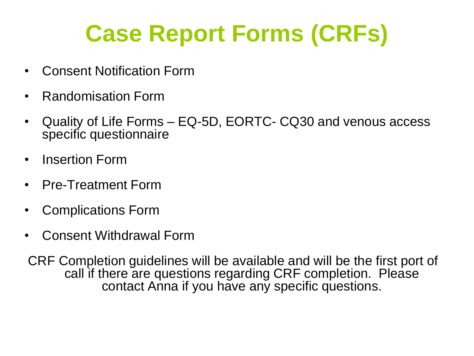## **Case Report Forms (CRFs)**

- Consent Notification Form
- Randomisation Form
- Quality of Life Forms EQ-5D, EORTC- CQ30 and venous access specific questionnaire
- Insertion Form
- Pre-Treatment Form
- Complications Form
- Consent Withdrawal Form

CRF Completion guidelines will be available and will be the first port of call if there are questions regarding CRF completion. Please contact Anna if you have any specific questions.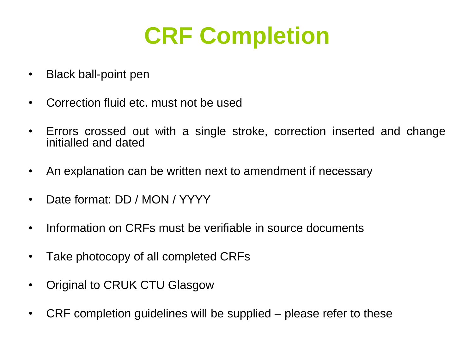### **CRF Completion**

- Black ball-point pen
- Correction fluid etc. must not be used
- Errors crossed out with a single stroke, correction inserted and change initialled and dated
- An explanation can be written next to amendment if necessary
- Date format: DD / MON / YYYY
- Information on CRFs must be verifiable in source documents
- Take photocopy of all completed CRFs
- Original to CRUK CTU Glasgow
- CRF completion guidelines will be supplied please refer to these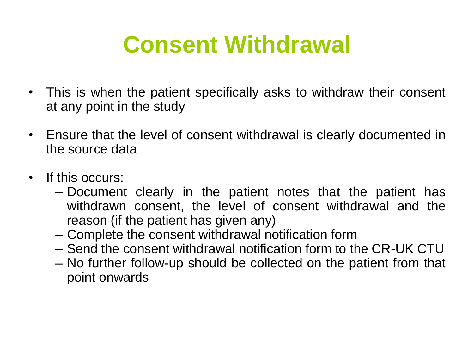### **Consent Withdrawal**

- This is when the patient specifically asks to withdraw their consent at any point in the study
- Ensure that the level of consent withdrawal is clearly documented in the source data
- If this occurs:
	- Document clearly in the patient notes that the patient has withdrawn consent, the level of consent withdrawal and the reason (if the patient has given any)
	- Complete the consent withdrawal notification form
	- Send the consent withdrawal notification form to the CR-UK CTU
	- No further follow-up should be collected on the patient from that point onwards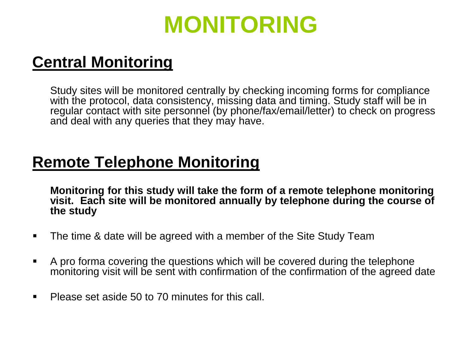### **MONITORING**

#### **Central Monitoring**

Study sites will be monitored centrally by checking incoming forms for compliance with the protocol, data consistency, missing data and timing. Study staff will be in regular contact with site personnel (by phone/fax/email/letter) to check on progress and deal with any queries that they may have.

#### **Remote Telephone Monitoring**

**Monitoring for this study will take the form of a remote telephone monitoring visit. Each site will be monitored annually by telephone during the course of the study**

- The time & date will be agreed with a member of the Site Study Team
- A pro forma covering the questions which will be covered during the telephone monitoring visit will be sent with confirmation of the confirmation of the agreed date
- **Please set aside 50 to 70 minutes for this call.**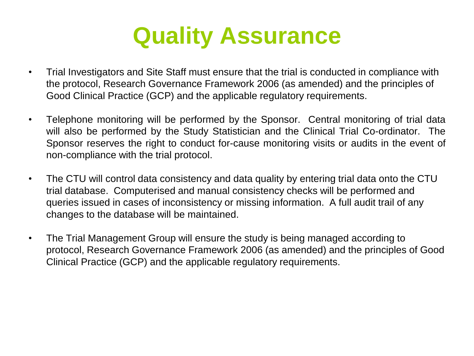### **Quality Assurance**

- Trial Investigators and Site Staff must ensure that the trial is conducted in compliance with the protocol, Research Governance Framework 2006 (as amended) and the principles of Good Clinical Practice (GCP) and the applicable regulatory requirements.
- Telephone monitoring will be performed by the Sponsor. Central monitoring of trial data will also be performed by the Study Statistician and the Clinical Trial Co-ordinator. The Sponsor reserves the right to conduct for-cause monitoring visits or audits in the event of non-compliance with the trial protocol.
- The CTU will control data consistency and data quality by entering trial data onto the CTU trial database. Computerised and manual consistency checks will be performed and queries issued in cases of inconsistency or missing information. A full audit trail of any changes to the database will be maintained.
- The Trial Management Group will ensure the study is being managed according to protocol, Research Governance Framework 2006 (as amended) and the principles of Good Clinical Practice (GCP) and the applicable regulatory requirements.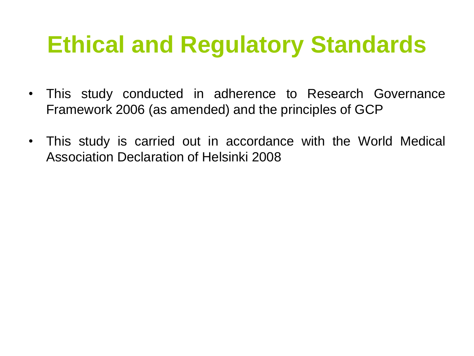### **Ethical and Regulatory Standards**

- This study conducted in adherence to Research Governance Framework 2006 (as amended) and the principles of GCP
- This study is carried out in accordance with the World Medical Association Declaration of Helsinki 2008